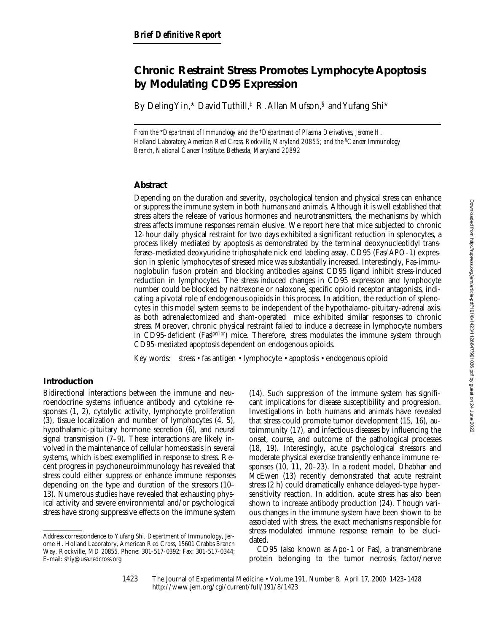# **Chronic Restraint Stress Promotes Lymphocyte Apoptosis by Modulating CD95 Expression**

By Deling Yin,\* David Tuthill,<sup>‡</sup> R. Allan Mufson,<sup>§</sup> and Yufang Shi\*

*From the* \**Department of Immunology and the* ‡*Department of Plasma Derivatives, Jerome H. Holland Laboratory, American Red Cross, Rockville, Maryland 20855; and the* §*Cancer Immunology Branch, National Cancer Institute, Bethesda, Maryland 20892*

### **Abstract**

Depending on the duration and severity, psychological tension and physical stress can enhance or suppress the immune system in both humans and animals. Although it is well established that stress alters the release of various hormones and neurotransmitters, the mechanisms by which stress affects immune responses remain elusive. We report here that mice subjected to chronic 12-hour daily physical restraint for two days exhibited a significant reduction in splenocytes, a process likely mediated by apoptosis as demonstrated by the terminal deoxynucleotidyl transferase–mediated deoxyuridine triphosphate nick end labeling assay. CD95 (Fas/APO-1) expression in splenic lymphocytes of stressed mice was substantially increased. Interestingly, Fas-immunoglobulin fusion protein and blocking antibodies against CD95 ligand inhibit stress-induced reduction in lymphocytes. The stress-induced changes in CD95 expression and lymphocyte number could be blocked by naltrexone or naloxone, specific opioid receptor antagonists, indicating a pivotal role of endogenous opioids in this process. In addition, the reduction of splenocytes in this model system seems to be independent of the hypothalamo-pituitary-adrenal axis, as both adrenalectomized and sham-operated mice exhibited similar responses to chronic stress. Moreover, chronic physical restraint failed to induce a decrease in lymphocyte numbers in CD95-deficient (Fas<sup>lpr/Ipr</sup>) mice. Therefore, stress modulates the immune system through CD95-mediated apoptosis dependent on endogenous opioids.

Key words: stress • fas antigen • lymphocyte • apoptosis • endogenous opioid

## **Introduction**

Bidirectional interactions between the immune and neuroendocrine systems influence antibody and cytokine responses (1, 2), cytolytic activity, lymphocyte proliferation (3), tissue localization and number of lymphocytes (4, 5), hypothalamic-pituitary hormone secretion (6), and neural signal transmission (7–9). These interactions are likely involved in the maintenance of cellular homeostasis in several systems, which is best exemplified in response to stress. Recent progress in psychoneuroimmunology has revealed that stress could either suppress or enhance immune responses depending on the type and duration of the stressors (10– 13). Numerous studies have revealed that exhausting physical activity and severe environmental and/or psychological stress have strong suppressive effects on the immune system

(14). Such suppression of the immune system has significant implications for disease susceptibility and progression. Investigations in both humans and animals have revealed that stress could promote tumor development (15, 16), autoimmunity (17), and infectious diseases by influencing the onset, course, and outcome of the pathological processes (18, 19). Interestingly, acute psychological stressors and moderate physical exercise transiently enhance immune responses (10, 11, 20–23). In a rodent model, Dhabhar and McEwen (13) recently demonstrated that acute restraint stress (2 h) could dramatically enhance delayed-type hypersensitivity reaction. In addition, acute stress has also been shown to increase antibody production (24). Though various changes in the immune system have been shown to be associated with stress, the exact mechanisms responsible for stress-modulated immune response remain to be elucidated.

CD95 (also known as Apo-1 or Fas), a transmembrane protein belonging to the tumor necrosis factor/nerve

1423

The Journal of Experimental Medicine • Volume 191, Number 8, April 17, 2000 1423–1428 http://www.jem.org/cgi/current/full/191/8/1423

Address correspondence to Yufang Shi, Department of Immunology, Jerome H. Holland Laboratory, American Red Cross, 15601 Crabbs Branch Way, Rockville, MD 20855. Phone: 301-517-0392; Fax: 301-517-0344; E-mail: shiy@usa.redcross.org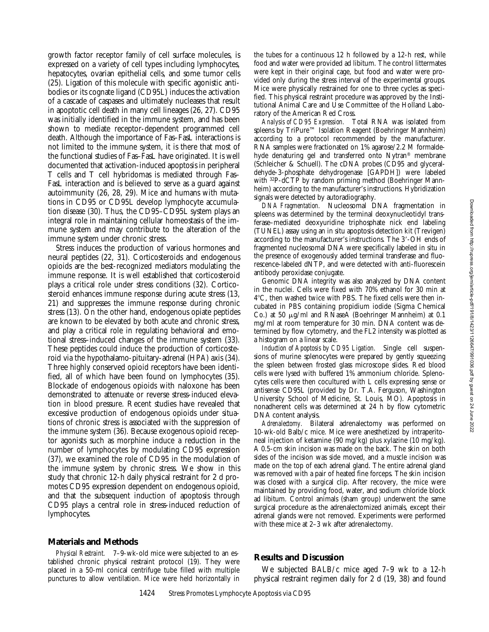growth factor receptor family of cell surface molecules, is expressed on a variety of cell types including lymphocytes, hepatocytes, ovarian epithelial cells, and some tumor cells (25). Ligation of this molecule with specific agonistic antibodies or its cognate ligand (CD95L) induces the activation of a cascade of caspases and ultimately nucleases that result in apoptotic cell death in many cell lineages (26, 27). CD95 was initially identified in the immune system, and has been shown to mediate receptor-dependent programmed cell death. Although the importance of Fas–FasL interactions is not limited to the immune system, it is there that most of the functional studies of Fas–FasL have originated. It is well documented that activation-induced apoptosis in peripheral T cells and T cell hybridomas is mediated through Fas– FasL interaction and is believed to serve as a guard against autoimmunity (26, 28, 29). Mice and humans with mutations in CD95 or CD95L develop lymphocyte accumulation disease (30). Thus, the CD95–CD95L system plays an integral role in maintaining cellular homeostasis of the immune system and may contribute to the alteration of the immune system under chronic stress.

Stress induces the production of various hormones and neural peptides (22, 31). Corticosteroids and endogenous opioids are the best-recognized mediators modulating the immune response. It is well established that corticosteroid plays a critical role under stress conditions (32). Corticosteroid enhances immune response during acute stress (13, 21) and suppresses the immune response during chronic stress (13). On the other hand, endogenous opiate peptides are known to be elevated by both acute and chronic stress, and play a critical role in regulating behavioral and emotional stress–induced changes of the immune system (33). These peptides could induce the production of corticosteroid via the hypothalamo-pituitary-adrenal (HPA) axis (34). Three highly conserved opioid receptors have been identified, all of which have been found on lymphocytes (35). Blockade of endogenous opioids with naloxone has been demonstrated to attenuate or reverse stress-induced elevation in blood pressure. Recent studies have revealed that excessive production of endogenous opioids under situations of chronic stress is associated with the suppression of the immune system (36). Because exogenous opioid receptor agonists such as morphine induce a reduction in the number of lymphocytes by modulating CD95 expression (37), we examined the role of CD95 in the modulation of the immune system by chronic stress. We show in this study that chronic 12-h daily physical restraint for 2 d promotes CD95 expression dependent on endogenous opioid, and that the subsequent induction of apoptosis through CD95 plays a central role in stress-induced reduction of lymphocytes.

the tubes for a continuous 12 h followed by a 12-h rest, while food and water were provided ad libitum. The control littermates were kept in their original cage, but food and water were provided only during the stress interval of the experimental groups. Mice were physically restrained for one to three cycles as specified. This physical restraint procedure was approved by the Institutional Animal Care and Use Committee of the Holland Laboratory of the American Red Cross.

*Analysis of CD95 Expression.* Total RNA was isolated from spleens by TriPure™ Isolation Reagent (Boehringer Mannheim) according to a protocol recommended by the manufacturer. RNA samples were fractionated on 1% agarose/2.2 M formaldehyde denaturing gel and transferred onto Nytran® membrane (Schleicher & Schuell). The cDNA probes (CD95 and glyceraldehyde-3-phosphate dehydrogenase [GAPDH]) were labeled with <sup>32</sup>P-dCTP by random priming method (Boehringer Mannheim) according to the manufacturer's instructions. Hybridization signals were detected by autoradiography.

*DNA Fragmentation.* Nucleosomal DNA fragmentation in spleens was determined by the terminal deoxynucleotidyl transferase–mediated deoxyuridine triphosphate nick end labeling (TUNEL) assay using an in situ apoptosis detection kit (Trevigen) according to the manufacturer's instructions. The 3'-OH ends of fragmented nucleosomal DNA were specifically labeled in situ in the presence of exogenously added terminal transferase and fluorescence-labeled dNTP, and were detected with anti-fluorescein antibody peroxidase conjugate.

Genomic DNA integrity was also analyzed by DNA content in the nuclei. Cells were fixed with 70% ethanol for 30 min at  $4^{\circ}$ C, then washed twice with PBS. The fixed cells were then incubated in PBS containing propidium iodide (Sigma Chemical Co.) at 50  $\mu$ g/ml and RNaseA (Boehringer Mannheim) at 0.1 mg/ml at room temperature for 30 min. DNA content was determined by flow cytometry, and the FL2 intensity was plotted as a histogram on a linear scale.

*Induction of Apoptosis by CD95 Ligation.* Single cell suspensions of murine splenocytes were prepared by gently squeezing the spleen between frosted glass microscope slides. Red blood cells were lysed with buffered 1% ammonium chloride. Splenocytes cells were then cocultured with L cells expressing sense or antisense CD95L (provided by Dr. T.A. Ferguson, Washington University School of Medicine, St. Louis, MO). Apoptosis in nonadherent cells was determined at 24 h by flow cytometric DNA content analysis.

*Adrenalectomy.* Bilateral adrenalectomy was performed on 10-wk-old Balb/c mice. Mice were anesthetized by intraperitoneal injection of ketamine (90 mg/kg) plus xylazine (10 mg/kg). A 0.5-cm skin incision was made on the back. The skin on both sides of the incision was side moved, and a muscle incision was made on the top of each adrenal gland. The entire adrenal gland was removed with a pair of heated fine forceps. The skin incision was closed with a surgical clip. After recovery, the mice were maintained by providing food, water, and sodium chloride block ad libitum. Control animals (sham group) underwent the same surgical procedure as the adrenalectomized animals, except their adrenal glands were not removed. Experiments were performed with these mice at 2–3 wk after adrenalectomy.

#### **Materials and Methods**

*Physical Restraint.* 7–9-wk-old mice were subjected to an established chronic physical restraint protocol (19). They were placed in a 50-ml conical centrifuge tube filled with multiple punctures to allow ventilation. Mice were held horizontally in

#### **Results and Discussion**

We subjected BALB/c mice aged 7–9 wk to a 12-h physical restraint regimen daily for 2 d (19, 38) and found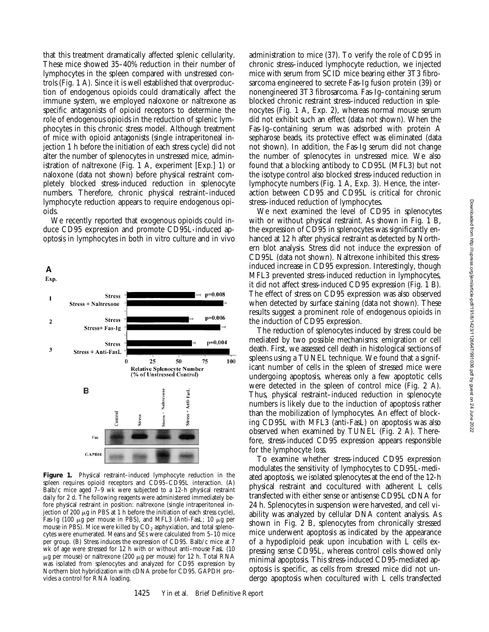that this treatment dramatically affected splenic cellularity. These mice showed 35–40% reduction in their number of lymphocytes in the spleen compared with unstressed controls (Fig. 1 A). Since it is well established that overproduction of endogenous opioids could dramatically affect the immune system, we employed naloxone or naltrexone as specific antagonists of opioid receptors to determine the role of endogenous opioids in the reduction of splenic lymphocytes in this chronic stress model. Although treatment of mice with opioid antagonists (single intraperitoneal injection 1 h before the initiation of each stress cycle) did not alter the number of splenocytes in unstressed mice, administration of naltrexone (Fig. 1 A, experiment [Exp.] 1) or naloxone (data not shown) before physical restraint completely blocked stress-induced reduction in splenocyte numbers. Therefore, chronic physical restraint–induced lymphocyte reduction appears to require endogenous opioids.

We recently reported that exogenous opioids could induce CD95 expression and promote CD95L-induced apoptosis in lymphocytes in both in vitro culture and in vivo

A

Exp.  $p=0.008$ **Stress**  $\mathbf{1}$ **Stress + Naltrexone**  $p=0.006$ **Stress**  $\overline{2}$ **Stress+ Fas-Ig**  $p=0.004$ **Stress** 3 Stress + Anti-FasL 25 50 75 100 0 **Relative Splenocyte Number<br>(% of Unstressed Control)** В FasL Valtrexon Anti- $S$ tress + **Stress** Stress Fas **GAPDH** 

**Figure 1.** Physical restraint–induced lymphocyte reduction in the spleen requires opioid receptors and CD95-CD95L interaction. (A) Balb/c mice aged 7–9 wk were subjected to a 12-h physical restraint daily for 2 d. The following reagents were administered immediately before physical restraint in position: naltrexone (single intraperitoneal injection of 200  $\mu$ g in PBS at 1 h before the initiation of each stress cycle), Fas-Ig (100  $\mu$ g per mouse in PBS), and MFL3 (Anti-FasL; 10  $\mu$ g per mouse in PBS). Mice were killed by  $CO<sub>2</sub>$  asphyxiation, and total splenocytes were enumerated. Means and SEs were calculated from 5–10 mice per group. (B) Stress induces the expression of CD95. Balb/c mice at 7 wk of age were stressed for 12 h with or without anti–mouse FasL (10  $\mu$ g per mouse) or naltrexone (200  $\mu$ g per mouse) for 12 h. Total RNA was isolated from splenocytes and analyzed for CD95 expression by Northern blot hybridization with cDNA probe for CD95. GAPDH provides a control for RNA loading.

administration to mice (37). To verify the role of CD95 in chronic stress–induced lymphocyte reduction, we injected mice with serum from SCID mice bearing either 3T3 fibrosarcoma engineered to secrete Fas-Ig fusion protein (39) or nonengineered 3T3 fibrosarcoma. Fas-Ig–containing serum blocked chronic restraint stress–induced reduction in splenocytes (Fig. 1 A, Exp. 2), whereas normal mouse serum did not exhibit such an effect (data not shown). When the Fas-Ig–containing serum was adsorbed with protein A sepharose beads, its protective effect was eliminated (data not shown). In addition, the Fas-Ig serum did not change the number of splenocytes in unstressed mice. We also found that a blocking antibody to CD95L (MFL3) but not the isotype control also blocked stress-induced reduction in lymphocyte numbers (Fig. 1 A, Exp. 3). Hence, the interaction between CD95 and CD95L is critical for chronic stress–induced reduction of lymphocytes.

We next examined the level of CD95 in splenocytes with or without physical restraint. As shown in Fig. 1 B, the expression of CD95 in splenocytes was significantly enhanced at 12 h after physical restraint as detected by Northern blot analysis. Stress did not induce the expression of CD95L (data not shown). Naltrexone inhibited this stressinduced increase in CD95 expression. Interestingly, though MFL3 prevented stress-induced reduction in lymphocytes, it did not affect stress-induced CD95 expression (Fig. 1 B). The effect of stress on CD95 expression was also observed when detected by surface staining (data not shown). These results suggest a prominent role of endogenous opioids in the induction of CD95 expression.

The reduction of splenocytes induced by stress could be mediated by two possible mechanisms: emigration or cell death. First, we assessed cell death in histological sections of spleens using a TUNEL technique. We found that a significant number of cells in the spleen of stressed mice were undergoing apoptosis, whereas only a few apoptotic cells were detected in the spleen of control mice (Fig. 2 A). Thus, physical restraint–induced reduction in splenocyte numbers is likely due to the induction of apoptosis rather than the mobilization of lymphocytes. An effect of blocking CD95L with MFL3 (anti-FasL) on apoptosis was also observed when examined by TUNEL (Fig. 2 A). Therefore, stress-induced CD95 expression appears responsible for the lymphocyte loss.

To examine whether stress-induced CD95 expression modulates the sensitivity of lymphocytes to CD95L-mediated apoptosis, we isolated splenocytes at the end of the 12-h physical restraint and cocultured with adherent L cells transfected with either sense or antisense CD95L cDNA for 24 h. Splenocytes in suspension were harvested, and cell viability was analyzed by cellular DNA content analysis. As shown in Fig. 2 B, splenocytes from chronically stressed mice underwent apoptosis as indicated by the appearance of a hypodiploid peak upon incubation with L cells expressing sense CD95L, whereas control cells showed only minimal apoptosis. This stress-induced CD95-mediated apoptosis is specific, as cells from stressed mice did not undergo apoptosis when cocultured with L cells transfected

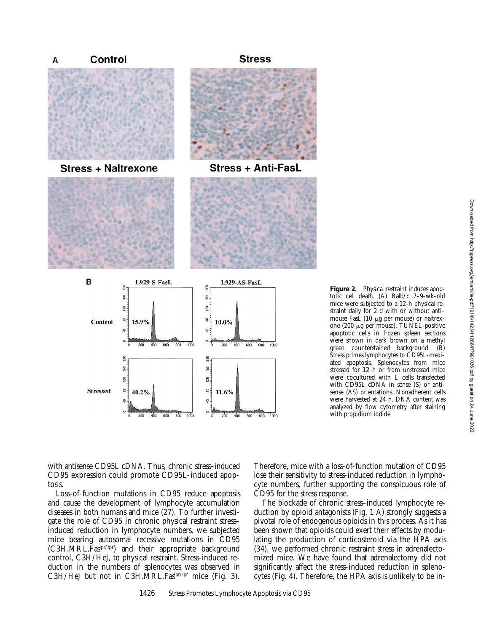

Figure 2. Physical restraint induces apoptotic cell death. (A) Balb/c 7–9-wk-old mice were subjected to a 12-h physical restraint daily for 2 d with or without anti– mouse FasL (10  $\mu$ g per mouse) or naltrexone (200 mg per mouse). TUNEL-positive apoptotic cells in frozen spleen sections were shown in dark brown on a methyl green counterstained background. (B) Stress primes lymphocytes to CD95L-mediated apoptosis. Splenocytes from mice stressed for 12 h or from unstressed mice were cocultured with L cells transfected with CD95L cDNA in sense (S) or antisense (AS) orientations. Nonadherent cells were harvested at 24 h. DNA content was analyzed by flow cytometry after staining with propidium iodide.

with antisense CD95L cDNA. Thus, chronic stress–induced CD95 expression could promote CD95L-induced apoptosis.

Loss-of-function mutations in CD95 reduce apoptosis and cause the development of lymphocyte accumulation diseases in both humans and mice (27). To further investigate the role of CD95 in chronic physical restraint stress– induced reduction in lymphocyte numbers, we subjected mice bearing autosomal recessive mutations in CD95 (C3H.MRL.Faslpr/lpr) and their appropriate background control, C3H/HeJ, to physical restraint. Stress-induced reduction in the numbers of splenocytes was observed in C3H/HeJ but not in C3H. $\dot{M}$ RL. Fas<sup>lpr/lpr</sup> mice (Fig. 3).

Therefore, mice with a loss-of-function mutation of CD95 lose their sensitivity to stress-induced reduction in lymphocyte numbers, further supporting the conspicuous role of CD95 for the stress response.

The blockade of chronic stress–induced lymphocyte reduction by opioid antagonists (Fig. 1 A) strongly suggests a pivotal role of endogenous opioids in this process. As it has been shown that opioids could exert their effects by modulating the production of corticosteroid via the HPA axis (34), we performed chronic restraint stress in adrenalectomized mice. We have found that adrenalectomy did not significantly affect the stress-induced reduction in splenocytes (Fig. 4). Therefore, the HPA axis is unlikely to be in-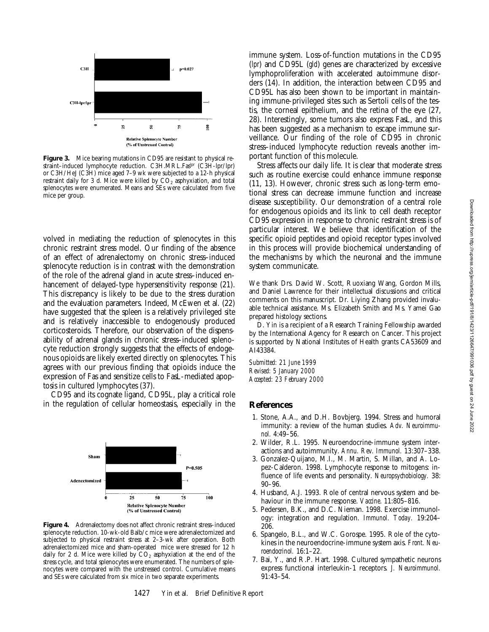

Figure 3. Mice bearing mutations in CD95 are resistant to physical restraint–induced lymphocyte reduction. C3H.MRL.Faslpr (C3H-lpr/lpr) or C3H/HeJ (C3H) mice aged 7–9 wk were subjected to a 12-h physical restraint daily for 3 d. Mice were killed by  $CO<sub>2</sub>$  asphyxiation, and total splenocytes were enumerated. Means and SEs were calculated from five mice per group.

volved in mediating the reduction of splenocytes in this chronic restraint stress model. Our finding of the absence of an effect of adrenalectomy on chronic stress–induced splenocyte reduction is in contrast with the demonstration of the role of the adrenal gland in acute stress–induced enhancement of delayed-type hypersensitivity response (21). This discrepancy is likely to be due to the stress duration and the evaluation parameters. Indeed, McEwen et al. (22) have suggested that the spleen is a relatively privileged site and is relatively inaccessible to endogenously produced corticosteroids. Therefore, our observation of the dispensability of adrenal glands in chronic stress–induced splenocyte reduction strongly suggests that the effects of endogenous opioids are likely exerted directly on splenocytes. This agrees with our previous finding that opioids induce the expression of Fas and sensitize cells to FasL-mediated apoptosis in cultured lymphocytes (37).

CD95 and its cognate ligand, CD95L, play a critical role in the regulation of cellular homeostasis, especially in the



Figure 4. Adrenalectomy does not affect chronic restraint stress-induced splenocyte reduction. 10-wk-old Balb/c mice were adrenalectomized and subjected to physical restraint stress at 2–3-wk after operation. Both adrenalectomized mice and sham-operated mice were stressed for 12 h daily for 2 d. Mice were killed by  $CO<sub>2</sub>$  asphyxiation at the end of the stress cycle, and total splenocytes were enumerated. The numbers of splenocytes were compared with the unstressed control. Cumulative means and SEs were calculated from six mice in two separate experiments.

immune system. Loss-of-function mutations in the CD95 (*lpr*) and CD95L (*gld*) genes are characterized by excessive lymphoproliferation with accelerated autoimmune disorders (14). In addition, the interaction between CD95 and CD95L has also been shown to be important in maintaining immune-privileged sites such as Sertoli cells of the testis, the corneal epithelium, and the retina of the eye (27, 28). Interestingly, some tumors also express FasL, and this has been suggested as a mechanism to escape immune surveillance. Our finding of the role of CD95 in chronic stress–induced lymphocyte reduction reveals another important function of this molecule.

Stress affects our daily life. It is clear that moderate stress such as routine exercise could enhance immune response (11, 13). However, chronic stress such as long-term emotional stress can decrease immune function and increase disease susceptibility. Our demonstration of a central role for endogenous opioids and its link to cell death receptor CD95 expression in response to chronic restraint stress is of particular interest. We believe that identification of the specific opioid peptides and opioid receptor types involved in this process will provide biochemical understanding of the mechanisms by which the neuronal and the immune system communicate.

We thank Drs. David W. Scott, Ruoxiang Wang, Gordon Mills, and Daniel Lawrence for their intellectual discussions and critical comments on this manuscript. Dr. Liying Zhang provided invaluable technical assistance. Ms. Elizabeth Smith and Ms. Yamei Gao prepared histology sections.

D. Yin is a recipient of a Research Training Fellowship awarded by the International Agency for Research on Cancer. This project is supported by National Institutes of Health grants CA53609 and AI43384.

*Submitted: 21 June 1999 Revised: 5 January 2000 Accepted: 23 February 2000*

#### **References**

- 1. Stone, A.A., and D.H. Bovbjerg. 1994. Stress and humoral immunity: a review of the human studies. *Adv. Neuroimmunol.* 4:49–56.
- 2. Wilder, R.L. 1995. Neuroendocrine-immune system interactions and autoimmunity. *Annu. Rev. Immunol.* 13:307–338.
- 3. Gonzalez-Quijano, M.I., M. Martin, S. Millan, and A. Lopez-Calderon. 1998. Lymphocyte response to mitogens: influence of life events and personality. *Neuropsychobiology.* 38: 90–96.
- 4. Husband, A.J. 1993. Role of central nervous system and behaviour in the immune response. *Vaccine*. 11:805–816.
- 5. Pedersen, B.K., and D.C. Nieman. 1998. Exercise immunology: integration and regulation. *Immunol. Today.* 19:204– 206.
- 6. Spangelo, B.L., and W.C. Gorospe. 1995. Role of the cytokines in the neuroendocrine-immune system axis. *Front. Neuroendocrinol.* 16:1–22.
- 7. Bai, Y., and R.P. Hart. 1998. Cultured sympathetic neurons express functional interleukin-1 receptors. *J. Neuroimmunol.* 91:43–54.